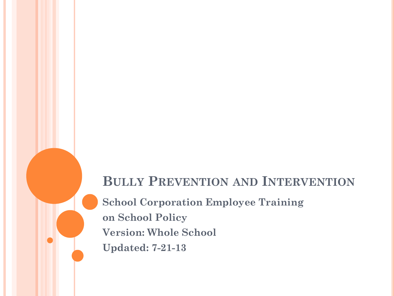#### **BULLY PREVENTION AND INTERVENTION**

**School Corporation Employee Training on School Policy Version: Whole School Updated: 7-21-13**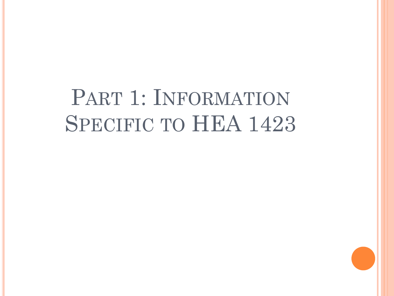# PART 1: INFORMATION SPECIFIC TO HEA 1423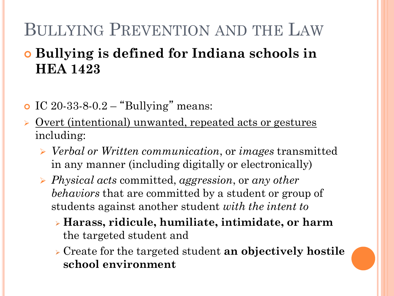# BULLYING PREVENTION AND THE LAW

#### **Bullying is defined for Indiana schools in HEA 1423**

- IC 20-33-8-0.2 "Bullying" means:
- ➢ Overt (intentional) unwanted, repeated acts or gestures including:
	- ➢ *Verbal or Written communication*, or *images* transmitted in any manner (including digitally or electronically)
	- ➢ *Physical acts* committed, *aggression*, or *any other behaviors* that are committed by a student or group of students against another student *with the intent to*
		- ➢ **Harass, ridicule, humiliate, intimidate, or harm** the targeted student and
		- ➢ Create for the targeted student **an objectively hostile school environment**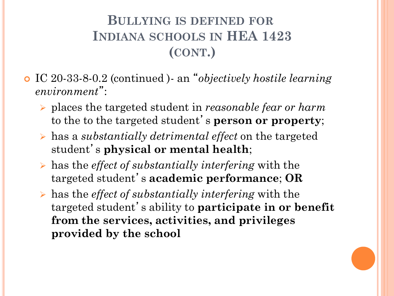#### **BULLYING IS DEFINED FOR INDIANA SCHOOLS IN HEA 1423 (CONT.)**

- IC 20-33-8-0.2 (continued )- an "*objectively hostile learning environment*" :
	- ➢ places the targeted student in *reasonable fear or harm*  to the to the targeted student' s **person or property**;
	- ➢ has a *substantially detrimental effect* on the targeted student' s **physical or mental health**;
	- ➢ has the *effect of substantially interfering* with the targeted student' s **academic performance**; **OR**
	- ➢ has the *effect of substantially interfering* with the targeted student's ability to **participate in or benefit from the services, activities, and privileges provided by the school**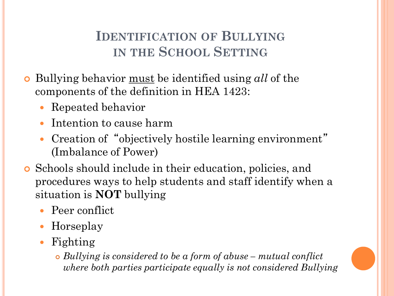#### **IDENTIFICATION OF BULLYING IN THE SCHOOL SETTING**

- Bullying behavior must be identified using *all* of the components of the definition in HEA 1423:
	- Repeated behavior
	- Intention to cause harm
	- Creation of "objectively hostile learning environment" (Imbalance of Power)
- Schools should include in their education, policies, and procedures ways to help students and staff identify when a situation is **NOT** bullying
	- Peer conflict
	- Horseplay
	- Fighting
		- *Bullying is considered to be a form of abuse – mutual conflict where both parties participate equally is not considered Bullying*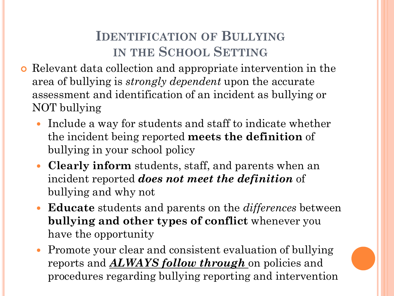#### **IDENTIFICATION OF BULLYING IN THE SCHOOL SETTING**

- Relevant data collection and appropriate intervention in the area of bullying is *strongly dependent* upon the accurate assessment and identification of an incident as bullying or NOT bullying
	- Include a way for students and staff to indicate whether the incident being reported **meets the definition** of bullying in your school policy
	- **Clearly inform** students, staff, and parents when an incident reported *does not meet the definition* of bullying and why not
	- **Educate** students and parents on the *differences* between **bullying and other types of conflict** whenever you have the opportunity
	- Promote your clear and consistent evaluation of bullying reports and *ALWAYS follow through* on policies and procedures regarding bullying reporting and intervention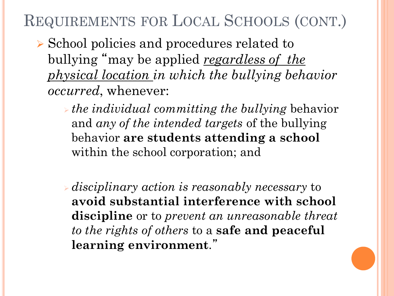### REQUIREMENTS FOR LOCAL SCHOOLS (CONT.)

- ➢ School policies and procedures related to bullying "may be applied *regardless of the physical location in which the bullying behavior occurred*, whenever:
	- ➢ *the individual committing the bullying* behavior and *any of the intended targets* of the bullying behavior **are students attending a school**  within the school corporation; and
	- ➢ *disciplinary action is reasonably necessary* to **avoid substantial interference with school discipline** or to *prevent an unreasonable threat to the rights of others* to a **safe and peaceful learning environment**."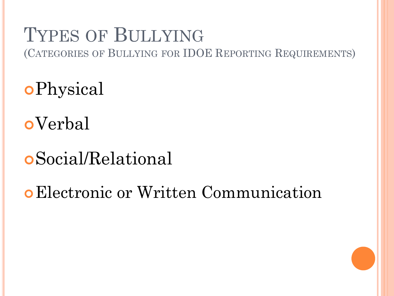### TYPES OF BULLYING (CATEGORIES OF BULLYING FOR IDOE REPORTING REQUIREMENTS)

Physical

Verbal

Social/Relational

Electronic or Written Communication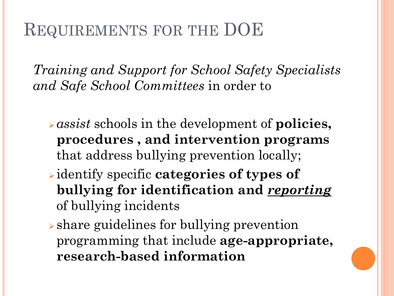# REQUIREMENTS FOR THE DOE

*Training and Support for School Safety Specialists and Safe School Committees* in order to

- ➢ *assist* schools in the development of **policies, procedures , and intervention programs** that address bullying prevention locally;
- ➢ identify specific **categories of types of bullying for identification and** *reporting* of bullying incidents
- ➢ share guidelines for bullying prevention programming that include **age-appropriate, research-based information**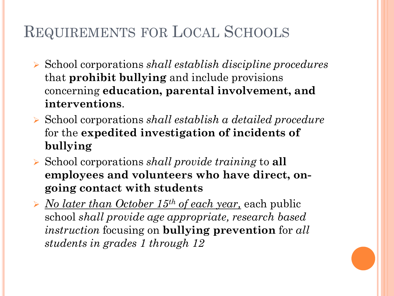### REQUIREMENTS FOR LOCAL SCHOOLS

- ➢ School corporations *shall establish discipline procedures*  that **prohibit bullying** and include provisions concerning **education, parental involvement, and interventions**.
- ➢ School corporations *shall establish a detailed procedure*  for the **expedited investigation of incidents of bullying**
- ➢ School corporations *shall provide training* to **all employees and volunteers who have direct, ongoing contact with students**
- ➢ *No later than October 15th of each year,* each public school *shall provide age appropriate, research based instruction* focusing on **bullying prevention** for *all students in grades 1 through 12*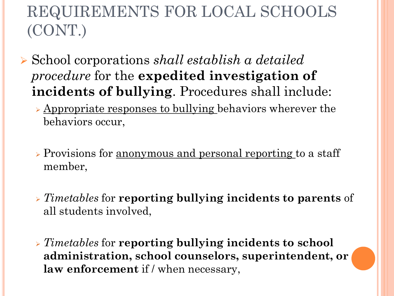# REQUIREMENTS FOR LOCAL SCHOOLS (CONT.)

- ➢ School corporations *shall establish a detailed procedure* for the **expedited investigation of incidents of bullying**. Procedures shall include:
	- ➢ Appropriate responses to bullying behaviors wherever the behaviors occur,
	- ➢ Provisions for anonymous and personal reporting to a staff member,
	- ➢ *Timetables* for **reporting bullying incidents to parents** of all students involved,
	- ➢ *Timetables* for **reporting bullying incidents to school administration, school counselors, superintendent, or law enforcement** if / when necessary,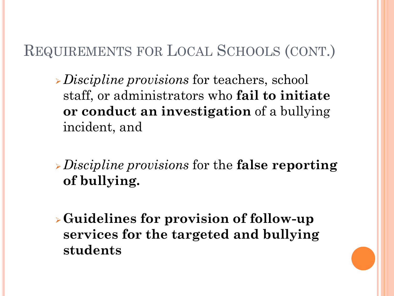#### REQUIREMENTS FOR LOCAL SCHOOLS (CONT.)

- ➢ *Discipline provisions* for teachers, school staff, or administrators who **fail to initiate or conduct an investigation** of a bullying incident, and
- ➢ *Discipline provisions* for the **false reporting of bullying.**
- ➢**Guidelines for provision of follow-up services for the targeted and bullying students**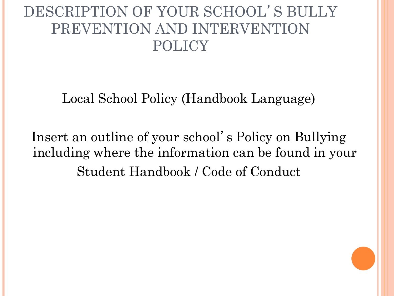#### Local School Policy (Handbook Language)

Insert an outline of your school's Policy on Bullying including where the information can be found in your Student Handbook / Code of Conduct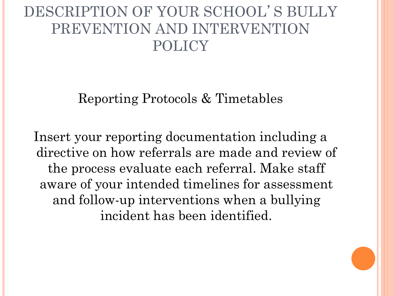Reporting Protocols & Timetables

Insert your reporting documentation including a directive on how referrals are made and review of the process evaluate each referral. Make staff aware of your intended timelines for assessment and follow-up interventions when a bullying incident has been identified.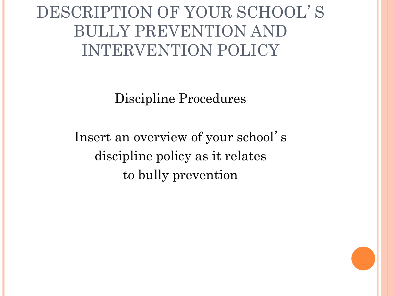Discipline Procedures

Insert an overview of your school' s discipline policy as it relates to bully prevention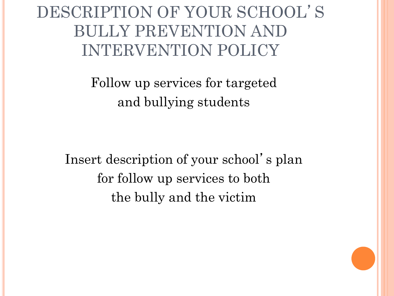Follow up services for targeted and bullying students

Insert description of your school's plan for follow up services to both the bully and the victim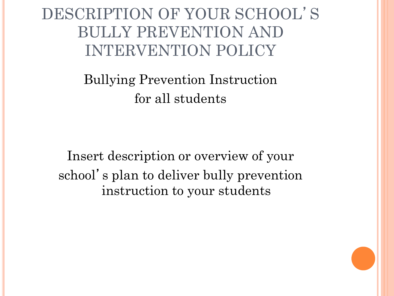Bullying Prevention Instruction for all students

Insert description or overview of your school's plan to deliver bully prevention instruction to your students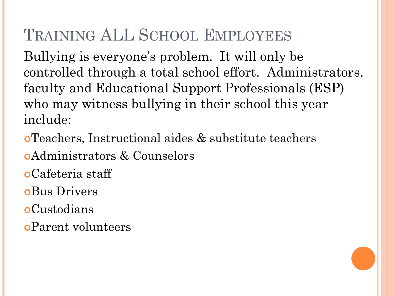# TRAINING ALL SCHOOL EMPLOYEES

Bullying is everyone's problem. It will only be controlled through a total school effort. Administrators, faculty and Educational Support Professionals (ESP) who may witness bullying in their school this year include:

Teachers, Instructional aides & substitute teachers

Administrators & Counselors

Cafeteria staff

**oBus Drivers** 

Custodians

Parent volunteers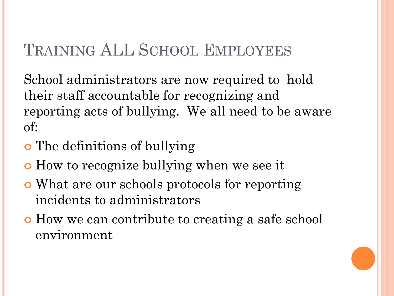## TRAINING ALL SCHOOL EMPLOYEES

School administrators are now required to hold their staff accountable for recognizing and reporting acts of bullying. We all need to be aware of:

- The definitions of bullying
- How to recognize bullying when we see it
- What are our schools protocols for reporting incidents to administrators
- How we can contribute to creating a safe school environment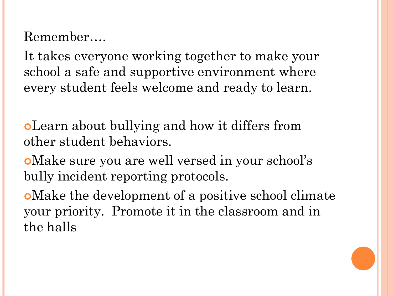Remember….

It takes everyone working together to make your school a safe and supportive environment where every student feels welcome and ready to learn.

Learn about bullying and how it differs from other student behaviors.

Make sure you are well versed in your school's bully incident reporting protocols.

Make the development of a positive school climate your priority. Promote it in the classroom and in the halls